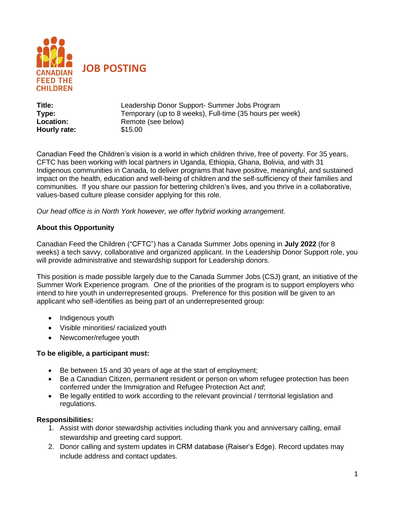

**Title:** Leadership Donor Support- Summer Jobs Program **Type:** Temporary (up to 8 weeks), Full-time (35 hours per week) **Location:** Remote (see below) **Hourly rate:** \$15.00

Canadian Feed the Children's vision is a world in which children thrive, free of poverty. For 35 years, CFTC has been working with local partners in Uganda, Ethiopia, Ghana, Bolivia, and with 31 Indigenous communities in Canada, to deliver programs that have positive, meaningful, and sustained impact on the health, education and well-being of children and the self-sufficiency of their families and communities. If you share our passion for bettering children's lives, and you thrive in a collaborative, values-based culture please consider applying for this role.

*Our head office is in North York however, we offer hybrid working arrangement.* 

## **About this Opportunity**

Canadian Feed the Children ("CFTC") has a Canada Summer Jobs opening in **July 2022** (for 8 weeks) a tech savvy, collaborative and organized applicant. In the Leadership Donor Support role, you will provide administrative and stewardship support for Leadership donors.

This position is made possible largely due to the Canada Summer Jobs (CSJ) grant, an initiative of the Summer Work Experience program. One of the priorities of the program is to support employers who intend to hire youth in underrepresented groups. Preference for this position will be given to an applicant who self-identifies as being part of an underrepresented group:

- Indigenous youth
- Visible minorities/ racialized youth
- Newcomer/refugee youth

### **To be eligible, a participant must:**

- Be between 15 and 30 years of age at the start of employment;
- Be a Canadian Citizen, permanent resident or person on whom refugee protection has been conferred under the Immigration and Refugee Protection Act *and*;
- Be legally entitled to work according to the relevant provincial / territorial legislation and regulations.

### **Responsibilities:**

- 1. Assist with donor stewardship activities including thank you and anniversary calling, email stewardship and greeting card support.
- 2. Donor calling and system updates in CRM database (Raiser's Edge). Record updates may include address and contact updates.